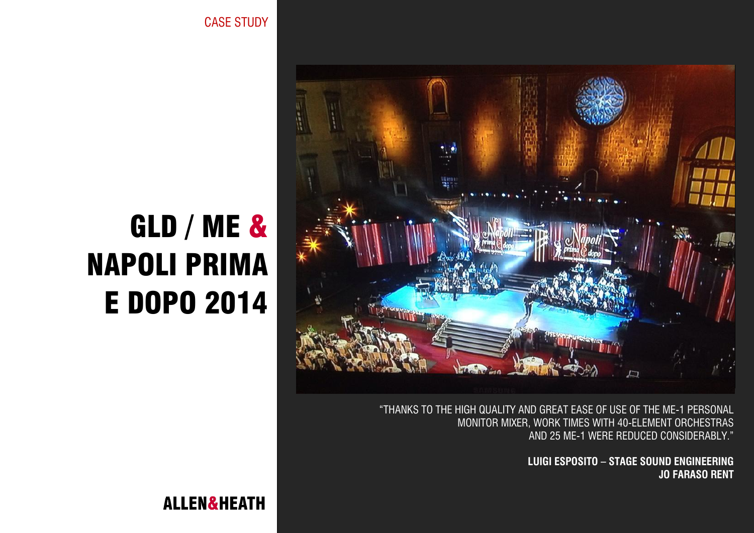CASE STUDY



"THANKS TO THE HIGH QUALITY AND GREAT EASE OF USE OF THE ME-1 PERSONAL MONITOR MIXER, WORK TIMES WITH 40-ELEMENT ORCHESTRAS AND 25 ME-1 WERE REDUCED CONSIDERABLY."

> **LUIGI ESPOSITO – STAGE SOUND ENGINEERING JO FARASO RENT**

# GLD / ME & NAPOLI PRIMA E DOPO 2014

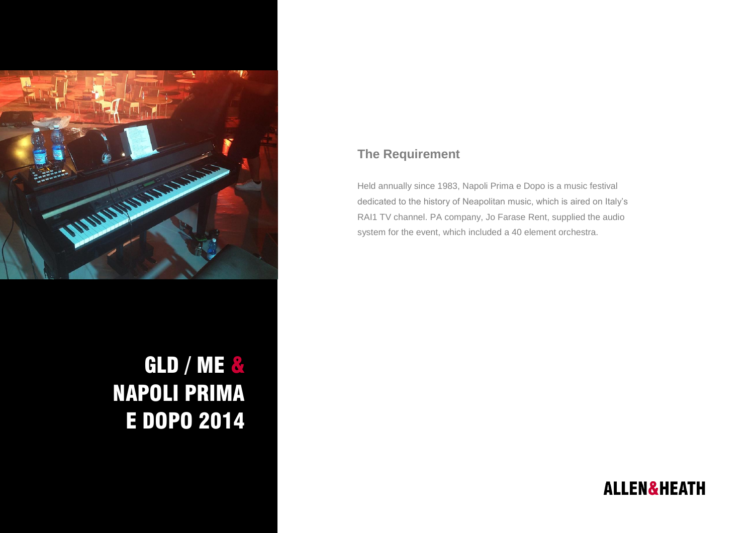

# GLD / ME & NAPOLI PRIMA E DOPO 2014

### **The Requirement**

Held annually since 1983, Napoli Prima e Dopo is a music festival dedicated to the history of Neapolitan music, which is aired on Italy's RAI1 TV channel. PA company, Jo Farase Rent, supplied the audio system for the event, which included a 40 element orchestra.

# **ALLEN&HEATH**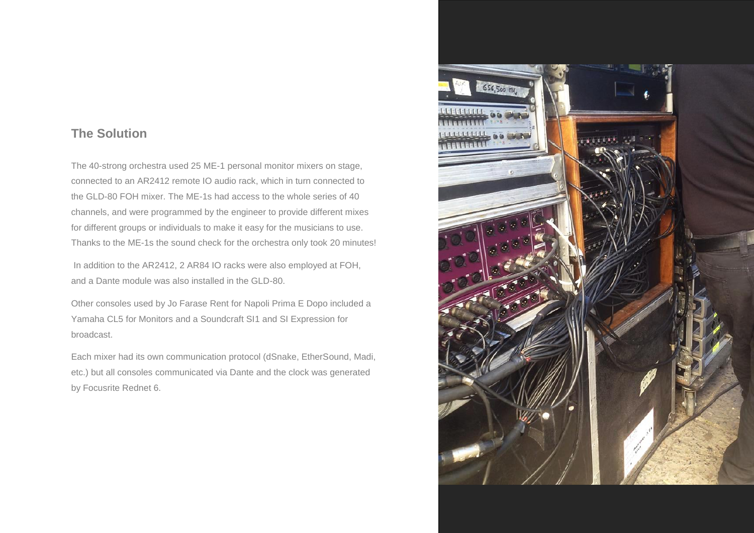#### **The Solution**

The 40-strong orchestra used 25 ME-1 personal monitor mixers on stage, connected to an AR2412 remote IO audio rack, which in turn connected to the GLD-80 FOH mixer. The ME-1s had access to the whole series of 40 channels, and were programmed by the engineer to provide different mixes for different groups or individuals to make it easy for the musicians to use. Thanks to the ME-1s the sound check for the orchestra only took 20 minutes!

In addition to the AR2412, 2 AR84 IO racks were also employed at FOH, and a Dante module was also installed in the GLD-80.

Other consoles used by Jo Farase Rent for Napoli Prima E Dopo included a Yamaha CL5 for Monitors and a Soundcraft SI1 and SI Expression for broadcast.

Each mixer had its own communication protocol (dSnake, EtherSound, Madi, etc.) but all consoles communicated via Dante and the clock was generated by Focusrite Rednet 6.